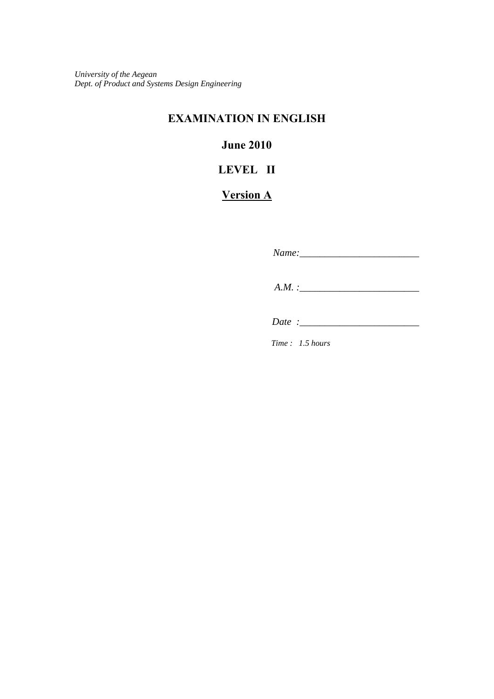*University of the Aegean Dept. of Product and Systems Design Engineering*

## **EXAMINATION IN ENGLISH**

## **June 2010**

# **LEVEL II**

## **Version A**

*Name:\_\_\_\_\_\_\_\_\_\_\_\_\_\_\_\_\_\_\_\_\_\_\_\_* 

 *A.M. :\_\_\_\_\_\_\_\_\_\_\_\_\_\_\_\_\_\_\_\_\_\_\_\_* 

 *Date :\_\_\_\_\_\_\_\_\_\_\_\_\_\_\_\_\_\_\_\_\_\_\_\_*

*Time : 1.5 hours*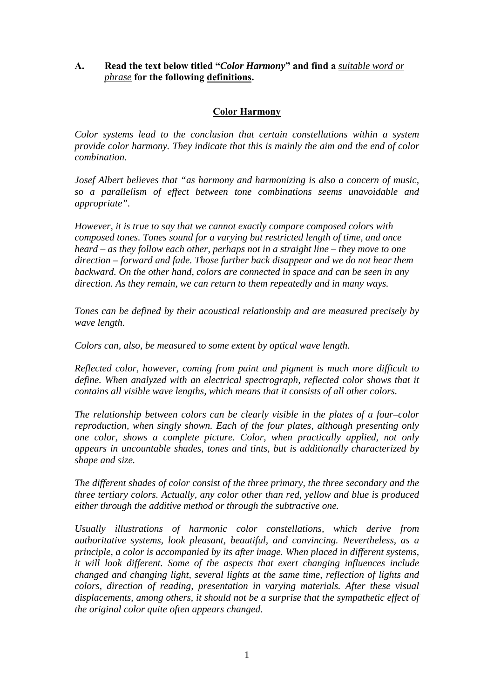### **A. Read the text below titled "***Color Harmony***" and find a** *suitable word or phrase* **for the following definitions.**

#### **Color Harmony**

*Color systems lead to the conclusion that certain constellations within a system provide color harmony. They indicate that this is mainly the aim and the end of color combination.* 

*Josef Albert believes that "as harmony and harmonizing is also a concern of music, so a parallelism of effect between tone combinations seems unavoidable and appropriate".* 

*However, it is true to say that we cannot exactly compare composed colors with composed tones. Tones sound for a varying but restricted length of time, and once heard – as they follow each other, perhaps not in a straight line – they move to one direction – forward and fade. Those further back disappear and we do not hear them backward. On the other hand, colors are connected in space and can be seen in any direction. As they remain, we can return to them repeatedly and in many ways.* 

*Tones can be defined by their acoustical relationship and are measured precisely by wave length.* 

*Colors can, also, be measured to some extent by optical wave length.* 

*Reflected color, however, coming from paint and pigment is much more difficult to define. When analyzed with an electrical spectrograph, reflected color shows that it contains all visible wave lengths, which means that it consists of all other colors.* 

*The relationship between colors can be clearly visible in the plates of a four–color reproduction, when singly shown. Each of the four plates, although presenting only one color, shows a complete picture. Color, when practically applied, not only appears in uncountable shades, tones and tints, but is additionally characterized by shape and size.* 

*The different shades of color consist of the three primary, the three secondary and the three tertiary colors. Actually, any color other than red, yellow and blue is produced either through the additive method or through the subtractive one.* 

*Usually illustrations of harmonic color constellations, which derive from authoritative systems, look pleasant, beautiful, and convincing. Nevertheless, as a principle, a color is accompanied by its after image. When placed in different systems, it will look different. Some of the aspects that exert changing influences include changed and changing light, several lights at the same time, reflection of lights and colors, direction of reading, presentation in varying materials. After these visual displacements, among others, it should not be a surprise that the sympathetic effect of the original color quite often appears changed.*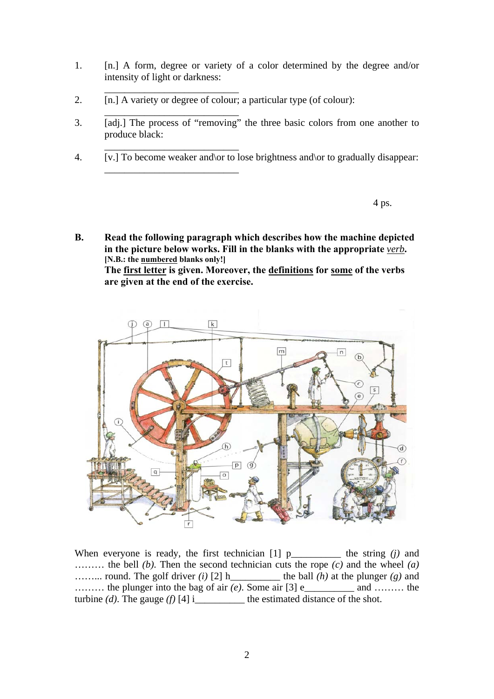- 1. [n.] A form, degree or variety of a color determined by the degree and/or intensity of light or darkness:
- 2. [n.] A variety or degree of colour; a particular type (of colour):

\_\_\_\_\_\_\_\_\_\_\_\_\_\_\_\_\_\_\_\_\_\_\_\_\_\_\_

\_\_\_\_\_\_\_\_\_\_\_\_\_\_\_\_\_\_\_\_\_\_\_\_\_\_\_

\_\_\_\_\_\_\_\_\_\_\_\_\_\_\_\_\_\_\_\_\_\_\_\_\_\_\_

\_\_\_\_\_\_\_\_\_\_\_\_\_\_\_\_\_\_\_\_\_\_\_\_\_\_\_

- 3. [adj.] The process of "removing" the three basic colors from one another to produce black:
- 4. [v.] To become weaker and\or to lose brightness and\or to gradually disappear:

4 ps.

**B. Read the following paragraph which describes how the machine depicted in the picture below works. Fill in the blanks with the appropriate** *verb***. [N.B.: the numbered blanks only!] The first letter is given. Moreover, the definitions for some of the verbs are given at the end of the exercise.**



When everyone is ready, the first technician  $[1]$  p\_\_\_\_\_\_\_\_\_\_\_ the string  $(j)$  and ……… the bell *(b)*. Then the second technician cuts the rope *(c)* and the wheel *(a)* ……... round. The golf driver *(i)* [2] h\_\_\_\_\_\_\_\_\_\_ the ball *(h)* at the plunger *(g)* and ……… the plunger into the bag of air *(e)*. Some air [3] e\_\_\_\_\_\_\_\_\_\_ and ……… the turbine  $(d)$ . The gauge  $(f)$  [4] i\_\_\_\_\_\_\_\_\_\_\_ the estimated distance of the shot.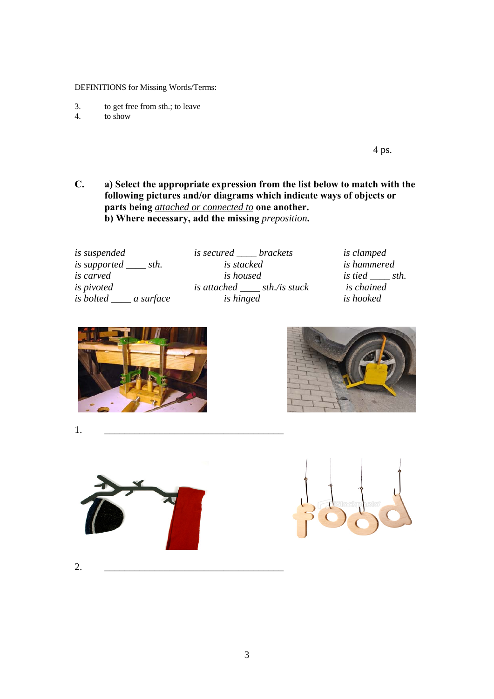DEFINITIONS for Missing Words/Terms:

- 3. to get free from sth.; to leave 4. to show
- to show

 $4 \text{ ps.}$ 

**C. a) Select the appropriate expression from the list below to match with the following pictures and/or diagrams which indicate ways of objects or parts being** *attached or connected to* **one another. b)** Where necessary, add the missing *preposition*.

| <i>is suspended</i>                       | <i>is secured ____ brackets</i>  | <i>is clamped</i><br>is hammered |  |
|-------------------------------------------|----------------------------------|----------------------------------|--|
| <i>is supported</i> _____ <i>sth.</i>     | is stacked                       |                                  |  |
| <i>is carved</i>                          | <i>is housed</i>                 | <i>is tied sth.</i>              |  |
| <i>is pivoted</i>                         | is attached $\_\_$ sth./is stuck | is chained                       |  |
| <i>is bolted</i> _______ <i>a surface</i> | <i>is hinged</i>                 | is hooked                        |  |
|                                           |                                  |                                  |  |





1. \_\_\_\_\_\_\_\_\_\_\_\_\_\_\_\_\_\_\_\_\_\_\_\_\_\_\_\_\_\_\_\_\_\_\_\_





2. \_\_\_\_\_\_\_\_\_\_\_\_\_\_\_\_\_\_\_\_\_\_\_\_\_\_\_\_\_\_\_\_\_\_\_\_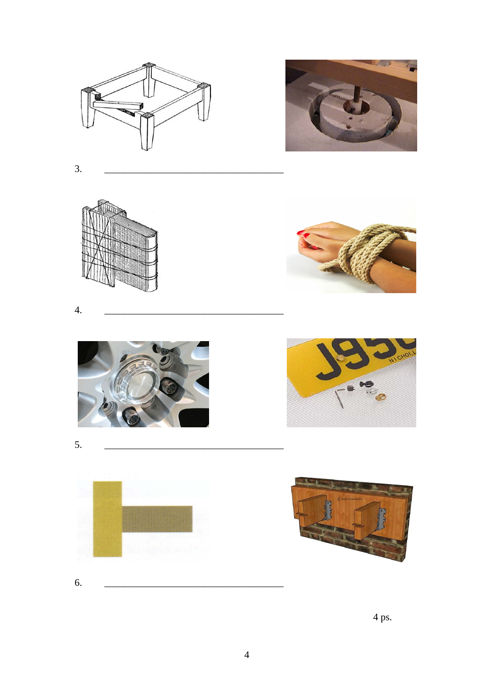



 $\overline{3}$ .





4.











4 ps.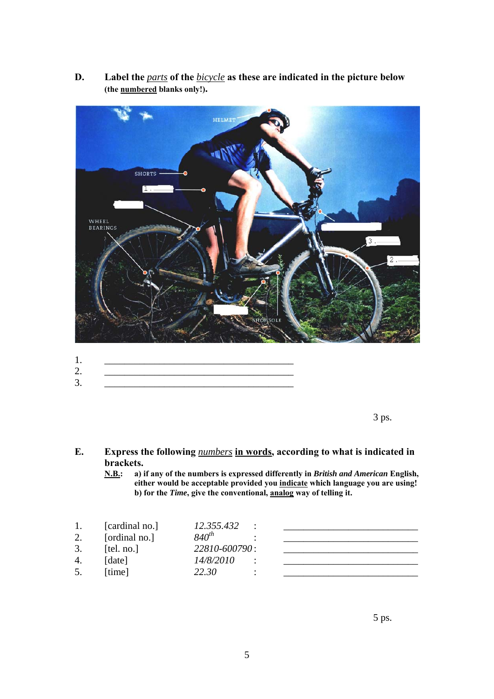**D. Label the** *parts* **of the** *bicycle* **as these are indicated in the picture below (the numbered blanks only!).** 



- 1. \_\_\_\_\_\_\_\_\_\_\_\_\_\_\_\_\_\_\_\_\_\_\_\_\_\_\_\_\_\_\_\_\_\_\_\_\_\_ 2. \_\_\_\_\_\_\_\_\_\_\_\_\_\_\_\_\_\_\_\_\_\_\_\_\_\_\_\_\_\_\_\_\_\_\_\_\_\_
- 3. \_\_\_\_\_\_\_\_\_\_\_\_\_\_\_\_\_\_\_\_\_\_\_\_\_\_\_\_\_\_\_\_\_\_\_\_\_\_

 $3 \text{ ps.}$ 

#### **E. Express the following** *numbers* **in words, according to what is indicated in brackets.**

**N.B.: a) if any of the numbers is expressed differently in** *British and American* **English, either would be acceptable provided you indicate which language you are using! b) for the** *Time***, give the conventional, analog way of telling it.** 

|    | [cardinal no.] | 12.355.432<br>٠ |  |
|----|----------------|-----------------|--|
| 2. | [ordinal no.]  | $840^{th}$      |  |
| 3. | [tel. no.]     | 22810-600790:   |  |
| 4. | [date]         | 14/8/2010       |  |
|    | [time]         | 22.30           |  |

 $5 \text{ ps.}$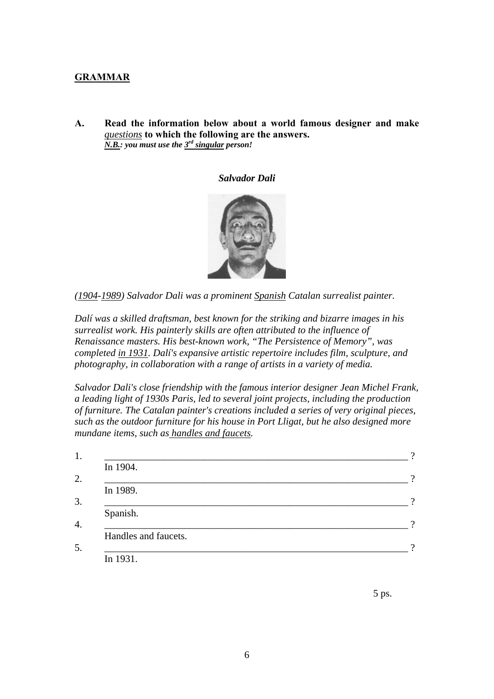### **GRAMMAR**

**A. Read the information below about a world famous designer and make**  *questions* **to which the following are the answers.**  *N.B.: you must use the 3rd singular person!* 

#### *Salvador Dali*



*(1904-1989) Salvador Dali was a prominent [Spanish](http://en.wikipedia.org/wiki/Spain) [Catalan](http://en.wikipedia.org/wiki/Catalonia) [surrealist](http://en.wikipedia.org/wiki/Surrealist) painter.* 

*Dalí was a skilled [draftsman](http://en.wikipedia.org/wiki/Technical_drawing), best known for the striking and bizarre images in his [surrealist](http://en.wikipedia.org/wiki/Surrealism) work. His [painterly](http://en.wikipedia.org/wiki/Painterly) skills are often attributed to the influence of [Renaissance](http://en.wikipedia.org/wiki/Renaissance) masters. His best-known work, ["The Persistence of Memory"](http://en.wikipedia.org/wiki/The_Persistence_of_Memory), was completed in 1931. Dalí's expansive artistic repertoire includes film, sculpture, and photography, in collaboration with a range of artists in a variety of media.* 

*Salvador Dali's close friendship with the famous interior designer Jean Michel Frank, a leading light of 1930s Paris, led to several joint projects, including the production of furniture. The Catalan painter's creations included a series of very original pieces, such as the outdoor furniture for his house in Port Lligat, but he also designed more mundane items, such as handles and faucets.* 

| In 1904.             |  |
|----------------------|--|
|                      |  |
| In 1989.             |  |
|                      |  |
| Spanish.             |  |
| Handles and faucets. |  |
|                      |  |
| In 1931.             |  |

 $5 \text{ ps.}$